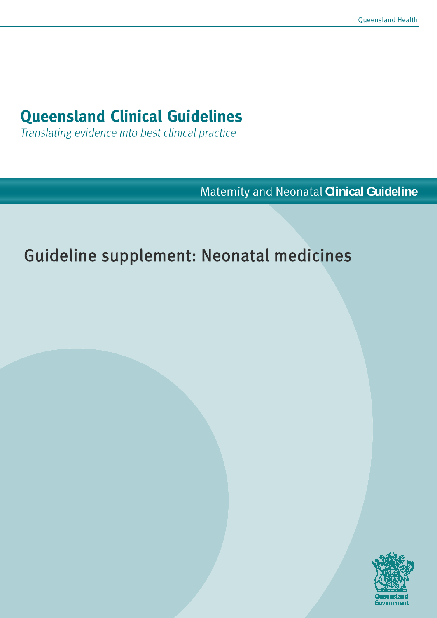# **Queensland Clinical Guidelines**

Translating evidence into best clinical practice

Maternity and Neonatal **Clinical Guideline**

# Guideline supplement: Neonatal medicines

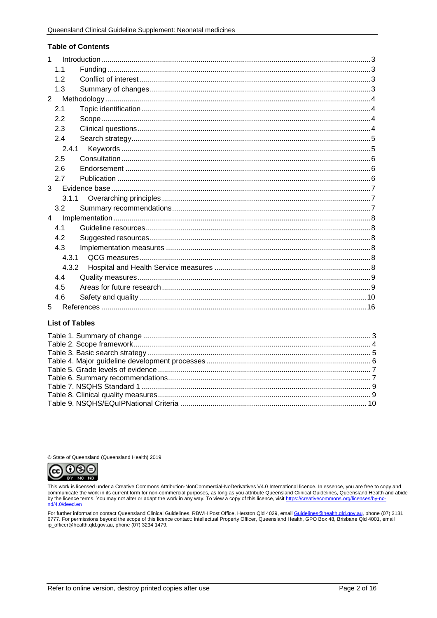#### **Table of Contents**

| 1              |  |
|----------------|--|
| 1.1            |  |
| 1.2            |  |
| 1.3            |  |
| $\overline{2}$ |  |
| 2.1            |  |
| 2.2            |  |
| 2.3            |  |
| 2.4            |  |
| 2.4.1          |  |
| 2.5            |  |
| 2.6            |  |
| 2.7            |  |
| 3              |  |
| 3.1.1          |  |
| 3.2            |  |
| 4              |  |
| 4.1            |  |
| 4.2            |  |
| 4.3            |  |
| 4.3.1          |  |
| 4.3.2          |  |
| 4.4            |  |
| 4.5            |  |
| 4.6            |  |
| 5              |  |

#### **List of Tables**

© State of Queensland (Queensland Health) 2019



This work is licensed under a Creative Commons Attribution-NonCommercial-NoDerivatives V4.0 International licence. In essence, you are free to copy and<br>communicate the work in its current form for non-commercial purposes, by the licence terms. You may not alter or adapt the work in any way. To view a copy of this licence, visit https://creativecommons.org/licenses/by-ncnd/4.0/deed.en

For further information contact Queensland Clinical Guidelines, RBWH Post Office, Herston Qld 4029, email Guidelines@health.gld.gov.au, phone (07) 3131 6777. For permissions beyond the scope of this licence contact: Intellectual Property Officer, Queensland Health, GPO Box 48, Brisbane Qld 4001, email in the leader of this licence contact: Intellectual Property Officer, Q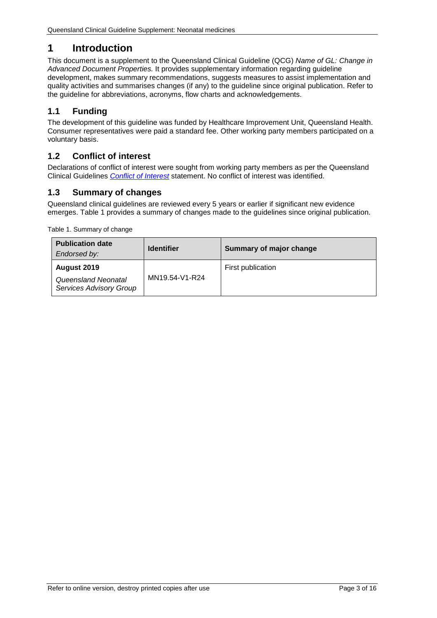# <span id="page-2-0"></span>**1 Introduction**

This document is a supplement to the Queensland Clinical Guideline (QCG) *Name of GL: Change in Advanced Document Properties.* It provides supplementary information regarding guideline development, makes summary recommendations, suggests measures to assist implementation and quality activities and summarises changes (if any) to the guideline since original publication. Refer to the guideline for abbreviations, acronyms, flow charts and acknowledgements.

# <span id="page-2-1"></span>**1.1 Funding**

The development of this guideline was funded by Healthcare Improvement Unit, Queensland Health. Consumer representatives were paid a standard fee. Other working party members participated on a voluntary basis.

# <span id="page-2-2"></span>**1.2 Conflict of interest**

Declarations of conflict of interest were sought from working party members as per the Queensland Clinical Guidelines *[Conflict of Interest](http://www.health.qld.gov.au/qcg/development#coi)* statement. No conflict of interest was identified.

# <span id="page-2-3"></span>**1.3 Summary of changes**

Queensland clinical guidelines are reviewed every 5 years or earlier if significant new evidence emerges. [Table 1](#page-2-4) provides a summary of changes made to the guidelines since original publication.

<span id="page-2-4"></span>Table 1. Summary of change

| <b>Publication date</b><br>Endorsed by:                              | <b>Identifier</b> | Summary of major change |
|----------------------------------------------------------------------|-------------------|-------------------------|
| August 2019<br>Queensland Neonatal<br><b>Services Advisory Group</b> | MN19.54-V1-R24    | First publication       |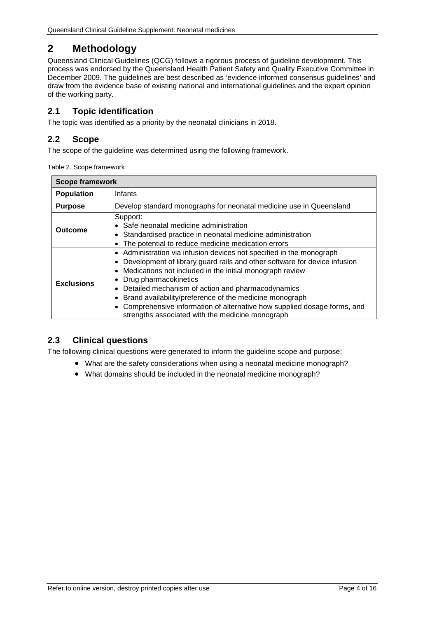# <span id="page-3-0"></span>**2 Methodology**

Queensland Clinical Guidelines (QCG) follows a rigorous process of guideline development. This process was endorsed by the Queensland Health Patient Safety and Quality Executive Committee in December 2009. The guidelines are best described as 'evidence informed consensus guidelines' and draw from the evidence base of existing national and international guidelines and the expert opinion of the working party.

# <span id="page-3-1"></span>**2.1 Topic identification**

The topic was identified as a priority by the neonatal clinicians in 2018.

## <span id="page-3-2"></span>**2.2 Scope**

<span id="page-3-4"></span>The scope of the quideline was determined using the following framework.

| Table 2. Scope framework |  |
|--------------------------|--|
|--------------------------|--|

| <b>Scope framework</b>                                                                                                                                                                                                                                                                                                                                                                                                                                                                                       |                                                                     |  |  |  |
|--------------------------------------------------------------------------------------------------------------------------------------------------------------------------------------------------------------------------------------------------------------------------------------------------------------------------------------------------------------------------------------------------------------------------------------------------------------------------------------------------------------|---------------------------------------------------------------------|--|--|--|
| Infants<br><b>Population</b>                                                                                                                                                                                                                                                                                                                                                                                                                                                                                 |                                                                     |  |  |  |
| <b>Purpose</b>                                                                                                                                                                                                                                                                                                                                                                                                                                                                                               | Develop standard monographs for neonatal medicine use in Queensland |  |  |  |
| Support:<br>• Safe neonatal medicine administration<br>Outcome<br>Standardised practice in neonatal medicine administration<br>The potential to reduce medicine medication errors                                                                                                                                                                                                                                                                                                                            |                                                                     |  |  |  |
| • Administration via infusion devices not specified in the monograph<br>Development of library guard rails and other software for device infusion<br>Medications not included in the initial monograph review<br>Drug pharmacokinetics<br><b>Exclusions</b><br>• Detailed mechanism of action and pharmacodynamics<br>Brand availability/preference of the medicine monograph<br>Comprehensive information of alternative how supplied dosage forms, and<br>strengths associated with the medicine monograph |                                                                     |  |  |  |

## <span id="page-3-3"></span>**2.3 Clinical questions**

The following clinical questions were generated to inform the guideline scope and purpose:

- What are the safety considerations when using a neonatal medicine monograph?
- What domains should be included in the neonatal medicine monograph?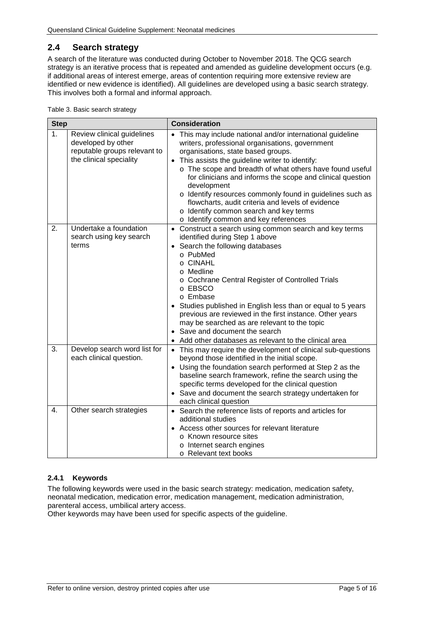# <span id="page-4-0"></span>**2.4 Search strategy**

A search of the literature was conducted during October to November 2018. The QCG search strategy is an iterative process that is repeated and amended as guideline development occurs (e.g. if additional areas of interest emerge, areas of contention requiring more extensive review are identified or new evidence is identified). All guidelines are developed using a basic search strategy. This involves both a formal and informal approach.

<span id="page-4-2"></span>Table 3. Basic search strategy

| <b>Step</b> |                                                                                                             | <b>Consideration</b>                                                                                                                                                                                                                                                                                                                                                                                                                                                                                                                                            |  |  |
|-------------|-------------------------------------------------------------------------------------------------------------|-----------------------------------------------------------------------------------------------------------------------------------------------------------------------------------------------------------------------------------------------------------------------------------------------------------------------------------------------------------------------------------------------------------------------------------------------------------------------------------------------------------------------------------------------------------------|--|--|
| 1.          | Review clinical guidelines<br>developed by other<br>reputable groups relevant to<br>the clinical speciality | • This may include national and/or international guideline<br>writers, professional organisations, government<br>organisations, state based groups.<br>This assists the guideline writer to identify:<br>$\bullet$<br>o The scope and breadth of what others have found useful<br>for clinicians and informs the scope and clinical question<br>development<br>o Identify resources commonly found in guidelines such as<br>flowcharts, audit criteria and levels of evidence<br>o Identify common search and key terms<br>o Identify common and key references |  |  |
| 2.          | Undertake a foundation<br>search using key search<br>terms                                                  | • Construct a search using common search and key terms<br>identified during Step 1 above<br>Search the following databases<br>o PubMed<br>o CINAHL<br>o Medline<br>o Cochrane Central Register of Controlled Trials<br>o EBSCO<br>o Embase<br>Studies published in English less than or equal to 5 years<br>previous are reviewed in the first instance. Other years<br>may be searched as are relevant to the topic<br>• Save and document the search<br>Add other databases as relevant to the clinical area                                                  |  |  |
| 3.          | Develop search word list for<br>each clinical question.                                                     | • This may require the development of clinical sub-questions<br>beyond those identified in the initial scope.<br>• Using the foundation search performed at Step 2 as the<br>baseline search framework, refine the search using the<br>specific terms developed for the clinical question<br>• Save and document the search strategy undertaken for<br>each clinical question                                                                                                                                                                                   |  |  |
| 4.          | Other search strategies                                                                                     | • Search the reference lists of reports and articles for<br>additional studies<br>Access other sources for relevant literature<br>o Known resource sites<br>o Internet search engines<br>o Relevant text books                                                                                                                                                                                                                                                                                                                                                  |  |  |

#### <span id="page-4-1"></span>**2.4.1 Keywords**

The following keywords were used in the basic search strategy: medication, medication safety, neonatal medication, medication error, medication management, medication administration, parenteral access, umbilical artery access.

Other keywords may have been used for specific aspects of the guideline.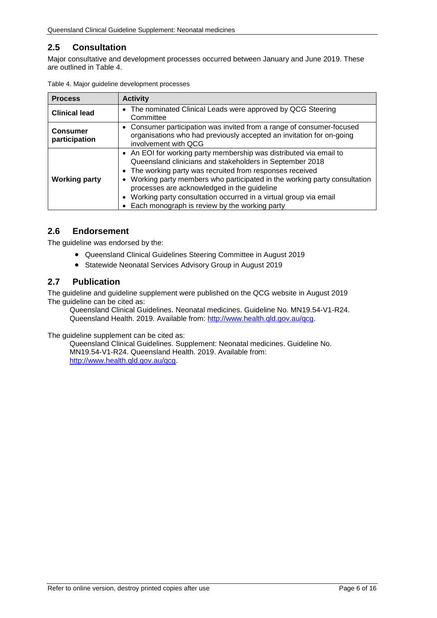# <span id="page-5-0"></span>**2.5 Consultation**

Major consultative and development processes occurred between January and June 2019. These are outlined in [Table 4.](#page-5-3)

| <b>Process</b>                   | <b>Activity</b>                                                                                                                                                                                                                                                                                                                                                                                                                                          |  |  |
|----------------------------------|----------------------------------------------------------------------------------------------------------------------------------------------------------------------------------------------------------------------------------------------------------------------------------------------------------------------------------------------------------------------------------------------------------------------------------------------------------|--|--|
| <b>Clinical lead</b>             | The nominated Clinical Leads were approved by QCG Steering<br>$\bullet$<br>Committee                                                                                                                                                                                                                                                                                                                                                                     |  |  |
| <b>Consumer</b><br>participation | • Consumer participation was invited from a range of consumer-focused<br>organisations who had previously accepted an invitation for on-going<br>involvement with QCG                                                                                                                                                                                                                                                                                    |  |  |
| <b>Working party</b>             | • An EOI for working party membership was distributed via email to<br>Queensland clinicians and stakeholders in September 2018<br>• The working party was recruited from responses received<br>Working party members who participated in the working party consultation<br>$\bullet$<br>processes are acknowledged in the guideline<br>Working party consultation occurred in a virtual group via email<br>Each monograph is review by the working party |  |  |

<span id="page-5-3"></span>

|  |  |  | Table 4. Major guideline development processes |  |
|--|--|--|------------------------------------------------|--|
|--|--|--|------------------------------------------------|--|

## <span id="page-5-1"></span>**2.6 Endorsement**

The guideline was endorsed by the:

- Queensland Clinical Guidelines Steering Committee in August 2019
- Statewide Neonatal Services Advisory Group in August 2019

#### <span id="page-5-2"></span>**2.7 Publication**

The guideline and guideline supplement were published on the QCG website in August 2019 The guideline can be cited as:

Queensland Clinical Guidelines. Neonatal medicines. Guideline No. MN19.54-V1-R24. Queensland Health. 2019. Available from: [http://www.health.qld.gov.au/qcg.](http://www.health.qld.gov.au/qcg)

The guideline supplement can be cited as:

Queensland Clinical Guidelines. Supplement: Neonatal medicines. Guideline No. MN19.54-V1-R24. Queensland Health. 2019. Available from: [http://www.health.qld.gov.au/qcg.](http://www.health.qld.gov.au/qcg)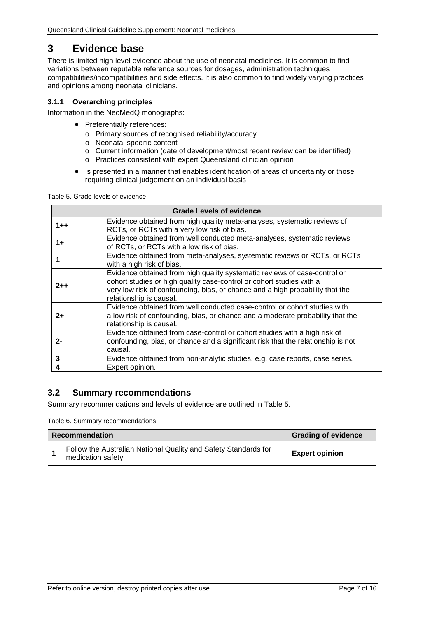# <span id="page-6-0"></span>**3 Evidence base**

There is limited high level evidence about the use of neonatal medicines. It is common to find variations between reputable reference sources for dosages, administration techniques compatibilities/incompatibilities and side effects. It is also common to find widely varying practices and opinions among neonatal clinicians.

#### <span id="page-6-1"></span>**3.1.1 Overarching principles**

Information in the NeoMedQ monographs:

- Preferentially references:
	- o Primary sources of recognised reliability/accuracy
	- o Neonatal specific content
	- o Current information (date of development/most recent review can be identified)
	- o Practices consistent with expert Queensland clinician opinion
- Is presented in a manner that enables identification of areas of uncertainty or those requiring clinical judgement on an individual basis

<span id="page-6-3"></span>Table 5. Grade levels of evidence

| <b>Grade Levels of evidence</b> |                                                                                                                                                                                                                                                               |  |  |
|---------------------------------|---------------------------------------------------------------------------------------------------------------------------------------------------------------------------------------------------------------------------------------------------------------|--|--|
| $1 + +$                         | Evidence obtained from high quality meta-analyses, systematic reviews of<br>RCTs, or RCTs with a very low risk of bias.                                                                                                                                       |  |  |
| $1+$                            | Evidence obtained from well conducted meta-analyses, systematic reviews<br>of RCTs, or RCTs with a low risk of bias.                                                                                                                                          |  |  |
|                                 | Evidence obtained from meta-analyses, systematic reviews or RCTs, or RCTs<br>with a high risk of bias.                                                                                                                                                        |  |  |
| $2 + +$                         | Evidence obtained from high quality systematic reviews of case-control or<br>cohort studies or high quality case-control or cohort studies with a<br>very low risk of confounding, bias, or chance and a high probability that the<br>relationship is causal. |  |  |
| $2+$                            | Evidence obtained from well conducted case-control or cohort studies with<br>a low risk of confounding, bias, or chance and a moderate probability that the<br>relationship is causal.                                                                        |  |  |
| $2 -$                           | Evidence obtained from case-control or cohort studies with a high risk of<br>confounding, bias, or chance and a significant risk that the relationship is not<br>causal.                                                                                      |  |  |
| 3                               | Evidence obtained from non-analytic studies, e.g. case reports, case series.                                                                                                                                                                                  |  |  |
|                                 | Expert opinion.                                                                                                                                                                                                                                               |  |  |

## <span id="page-6-2"></span>**3.2 Summary recommendations**

<span id="page-6-4"></span>Summary recommendations and levels of evidence are outlined in Table 5.

Table 6. Summary recommendations

| <b>Recommendation</b> |                                                                                      | <b>Grading of evidence</b> |
|-----------------------|--------------------------------------------------------------------------------------|----------------------------|
|                       | Follow the Australian National Quality and Safety Standards for<br>medication safety | <b>Expert opinion</b>      |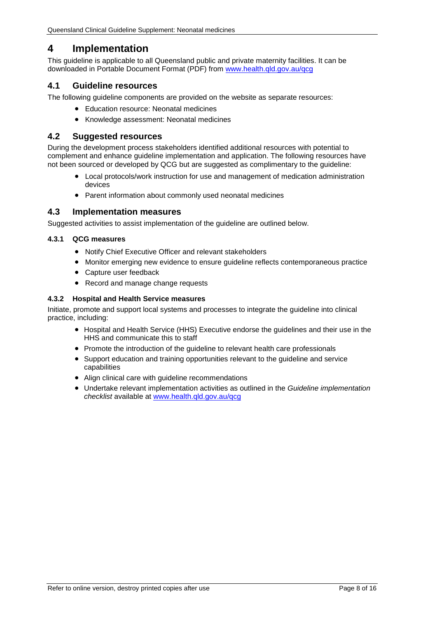# <span id="page-7-0"></span>**4 Implementation**

This guideline is applicable to all Queensland public and private maternity facilities. It can be downloaded in Portable Document Format (PDF) from [www.health.qld.gov.au/qcg](http://www.health.qld.gov.au/qcg)

## <span id="page-7-1"></span>**4.1 Guideline resources**

The following guideline components are provided on the website as separate resources:

- Education resource: Neonatal medicines
- Knowledge assessment: Neonatal medicines

#### <span id="page-7-2"></span>**4.2 Suggested resources**

During the development process stakeholders identified additional resources with potential to complement and enhance guideline implementation and application. The following resources have not been sourced or developed by QCG but are suggested as complimentary to the guideline:

- Local protocols/work instruction for use and management of medication administration devices
- Parent information about commonly used neonatal medicines

#### <span id="page-7-3"></span>**4.3 Implementation measures**

Suggested activities to assist implementation of the guideline are outlined below.

#### <span id="page-7-4"></span>**4.3.1 QCG measures**

- Notify Chief Executive Officer and relevant stakeholders
- Monitor emerging new evidence to ensure guideline reflects contemporaneous practice
- Capture user feedback
- Record and manage change requests

#### <span id="page-7-5"></span>**4.3.2 Hospital and Health Service measures**

Initiate, promote and support local systems and processes to integrate the guideline into clinical practice, including:

- Hospital and Health Service (HHS) Executive endorse the guidelines and their use in the HHS and communicate this to staff
- Promote the introduction of the guideline to relevant health care professionals
- Support education and training opportunities relevant to the guideline and service capabilities
- Align clinical care with guideline recommendations
- Undertake relevant implementation activities as outlined in the *Guideline implementation checklist* available at [www.health.qld.gov.au/qcg](http://www.health.qld.gov.au/qcg)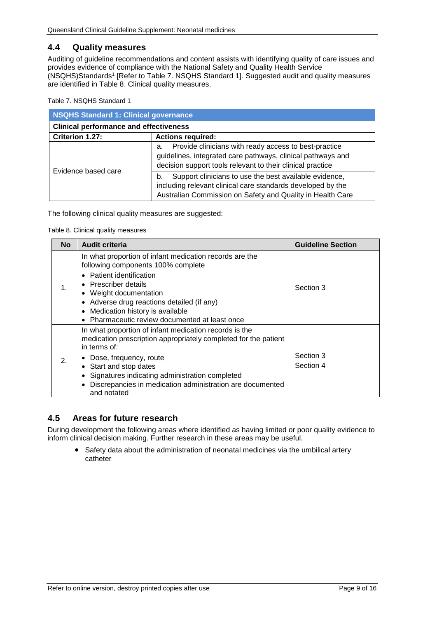## <span id="page-8-0"></span>**4.4 Quality measures**

Auditing of guideline recommendations and content assists with identifying quality of care issues and provides evidence of compliance with the National Safety and Quality Health Service (NSQHS)Standards1 [Refer to Table 7. [NSQHS Standard 1\]](#page-8-2). Suggested audit and quality measures are identified in [Table 8. Clinical quality measures.](#page-8-3)

<span id="page-8-2"></span>Table 7. NSQHS Standard 1

| <b>NSQHS Standard 1: Clinical governance</b>  |                                                                                                                                                                                           |  |
|-----------------------------------------------|-------------------------------------------------------------------------------------------------------------------------------------------------------------------------------------------|--|
| <b>Clinical performance and effectiveness</b> |                                                                                                                                                                                           |  |
| Criterion 1.27:<br><b>Actions required:</b>   |                                                                                                                                                                                           |  |
| Evidence based care                           | Provide clinicians with ready access to best-practice<br>a.<br>guidelines, integrated care pathways, clinical pathways and<br>decision support tools relevant to their clinical practice  |  |
|                                               | Support clinicians to use the best available evidence,<br>b.<br>including relevant clinical care standards developed by the<br>Australian Commission on Safety and Quality in Health Care |  |

<span id="page-8-3"></span>The following clinical quality measures are suggested:

Table 8. Clinical quality measures

| <b>No</b>      | <b>Audit criteria</b>                                                                                                                                                                                                                                                                                                                           | <b>Guideline Section</b> |
|----------------|-------------------------------------------------------------------------------------------------------------------------------------------------------------------------------------------------------------------------------------------------------------------------------------------------------------------------------------------------|--------------------------|
| $\mathbf{1}$ . | In what proportion of infant medication records are the<br>following components 100% complete<br><b>Patient identification</b><br>$\bullet$<br>• Prescriber details<br>• Weight documentation<br>• Adverse drug reactions detailed (if any)<br>Medication history is available<br>$\bullet$<br>Pharmaceutic review documented at least once     | Section 3                |
| 2.             | In what proportion of infant medication records is the<br>medication prescription appropriately completed for the patient<br>in terms of:<br>• Dose, frequency, route<br>• Start and stop dates<br>Signatures indicating administration completed<br>٠<br>Discrepancies in medication administration are documented<br>$\bullet$<br>and notated | Section 3<br>Section 4   |

## <span id="page-8-1"></span>**4.5 Areas for future research**

During development the following areas where identified as having limited or poor quality evidence to inform clinical decision making. Further research in these areas may be useful.

• Safety data about the administration of neonatal medicines via the umbilical artery catheter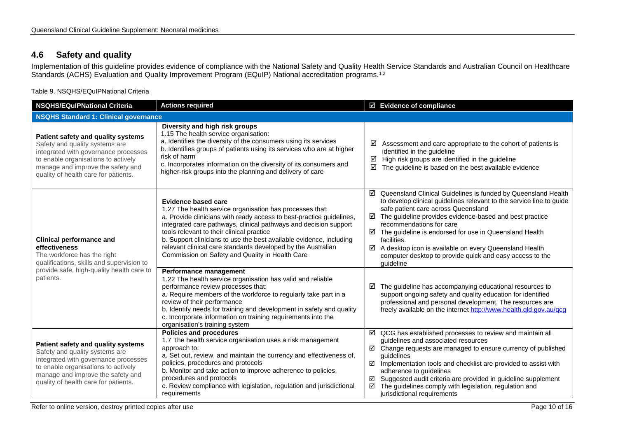# **4.6 Safety and quality**

Implementation of this guideline provides evidence of compliance with the National Safety and Quality Health Service Standards and Australian Council on Healthcare Standards (ACHS) Evaluation and Quality Improvement Program (EQuIP) National accreditation programs.<sup>1,2</sup>

Table 9. NSQHS/EQuIPNational Criteria

<span id="page-9-1"></span><span id="page-9-0"></span>

| <b>NSQHS/EQuIPNational Criteria</b>                                                                                                                                                                                              | <b>Actions required</b>                                                                                                                                                                                                                                                                                                                                                                                                                                                   | ☑ Evidence of compliance                                                                                                                                                                                                                                                                                                                                                                                                                                                                             |  |
|----------------------------------------------------------------------------------------------------------------------------------------------------------------------------------------------------------------------------------|---------------------------------------------------------------------------------------------------------------------------------------------------------------------------------------------------------------------------------------------------------------------------------------------------------------------------------------------------------------------------------------------------------------------------------------------------------------------------|------------------------------------------------------------------------------------------------------------------------------------------------------------------------------------------------------------------------------------------------------------------------------------------------------------------------------------------------------------------------------------------------------------------------------------------------------------------------------------------------------|--|
| <b>NSQHS Standard 1: Clinical governance</b>                                                                                                                                                                                     |                                                                                                                                                                                                                                                                                                                                                                                                                                                                           |                                                                                                                                                                                                                                                                                                                                                                                                                                                                                                      |  |
| Patient safety and quality systems<br>Safety and quality systems are<br>integrated with governance processes<br>to enable organisations to actively<br>manage and improve the safety and<br>quality of health care for patients. | Diversity and high risk groups<br>1.15 The health service organisation:<br>a. Identifies the diversity of the consumers using its services<br>b. Identifies groups of patients using its services who are at higher<br>risk of harm<br>c. Incorporates information on the diversity of its consumers and<br>higher-risk groups into the planning and delivery of care                                                                                                     | ☑<br>Assessment and care appropriate to the cohort of patients is<br>identified in the guideline<br>High risk groups are identified in the guideline<br>☑<br>☑<br>The guideline is based on the best available evidence                                                                                                                                                                                                                                                                              |  |
| <b>Clinical performance and</b><br>effectiveness<br>The workforce has the right<br>qualifications, skills and supervision to<br>provide safe, high-quality health care to<br>patients.                                           | <b>Evidence based care</b><br>1.27 The health service organisation has processes that:<br>a. Provide clinicians with ready access to best-practice guidelines,<br>integrated care pathways, clinical pathways and decision support<br>tools relevant to their clinical practice<br>b. Support clinicians to use the best available evidence, including<br>relevant clinical care standards developed by the Australian<br>Commission on Safety and Quality in Health Care | ☑ Queensland Clinical Guidelines is funded by Queensland Health<br>to develop clinical guidelines relevant to the service line to guide<br>safe patient care across Queensland<br>The guideline provides evidence-based and best practice<br>☑<br>recommendations for care<br>$\boxtimes$ The guideline is endorsed for use in Queensland Health<br>facilities.<br>☑ A desktop icon is available on every Queensland Health<br>computer desktop to provide quick and easy access to the<br>quideline |  |
|                                                                                                                                                                                                                                  | Performance management<br>1.22 The health service organisation has valid and reliable<br>performance review processes that:<br>a. Require members of the workforce to regularly take part in a<br>review of their performance<br>b. Identify needs for training and development in safety and quality<br>c. Incorporate information on training requirements into the<br>organisation's training system                                                                   | The guideline has accompanying educational resources to<br>☑<br>support ongoing safety and quality education for identified<br>professional and personal development. The resources are<br>freely available on the internet http://www.health.qld.gov.au/qcg                                                                                                                                                                                                                                         |  |
| Patient safety and quality systems<br>Safety and quality systems are<br>integrated with governance processes<br>to enable organisations to actively<br>manage and improve the safety and<br>quality of health care for patients. | <b>Policies and procedures</b><br>1.7 The health service organisation uses a risk management<br>approach to:<br>a. Set out, review, and maintain the currency and effectiveness of,<br>policies, procedures and protocols<br>b. Monitor and take action to improve adherence to policies,<br>procedures and protocols<br>c. Review compliance with legislation, regulation and jurisdictional<br>requirements                                                             | $\boxtimes$ QCG has established processes to review and maintain all<br>guidelines and associated resources<br>$\boxtimes$ Change requests are managed to ensure currency of published<br>quidelines<br>Implementation tools and checklist are provided to assist with<br>☑<br>adherence to guidelines<br>Suggested audit criteria are provided in guideline supplement<br>☑<br>The guidelines comply with legislation, regulation and<br>☑<br>jurisdictional requirements                           |  |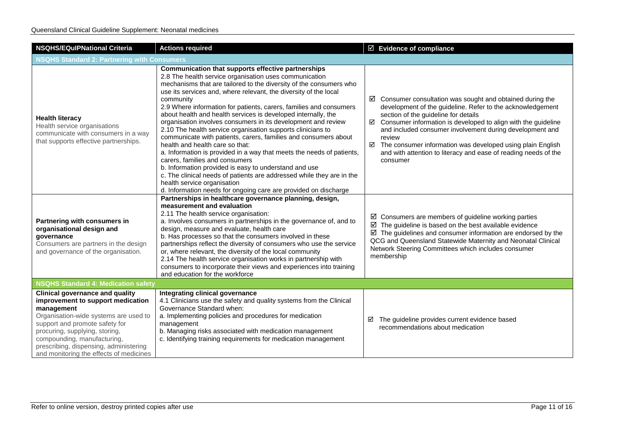| <b>NSQHS/EQuIPNational Criteria</b>                                                                                                                                                                                                                                                                                        | <b>Actions required</b>                                                                                                                                                                                                                                                                                                                                                                                                                                                                                                                                                                                                                                                                                                                                                                                                                                                                                                                                                                         | $\overline{\boxtimes}$ Evidence of compliance                                                                                                                                                                                                                                                                                                                                                                                                                         |  |
|----------------------------------------------------------------------------------------------------------------------------------------------------------------------------------------------------------------------------------------------------------------------------------------------------------------------------|-------------------------------------------------------------------------------------------------------------------------------------------------------------------------------------------------------------------------------------------------------------------------------------------------------------------------------------------------------------------------------------------------------------------------------------------------------------------------------------------------------------------------------------------------------------------------------------------------------------------------------------------------------------------------------------------------------------------------------------------------------------------------------------------------------------------------------------------------------------------------------------------------------------------------------------------------------------------------------------------------|-----------------------------------------------------------------------------------------------------------------------------------------------------------------------------------------------------------------------------------------------------------------------------------------------------------------------------------------------------------------------------------------------------------------------------------------------------------------------|--|
| <b>NSQHS Standard 2: Partnering with Consumers</b>                                                                                                                                                                                                                                                                         |                                                                                                                                                                                                                                                                                                                                                                                                                                                                                                                                                                                                                                                                                                                                                                                                                                                                                                                                                                                                 |                                                                                                                                                                                                                                                                                                                                                                                                                                                                       |  |
| <b>Health literacy</b><br>Health service organisations<br>communicate with consumers in a way<br>that supports effective partnerships.                                                                                                                                                                                     | Communication that supports effective partnerships<br>2.8 The health service organisation uses communication<br>mechanisms that are tailored to the diversity of the consumers who<br>use its services and, where relevant, the diversity of the local<br>community<br>2.9 Where information for patients, carers, families and consumers<br>about health and health services is developed internally, the<br>organisation involves consumers in its development and review<br>2.10 The health service organisation supports clinicians to<br>communicate with patients, carers, families and consumers about<br>health and health care so that:<br>a. Information is provided in a way that meets the needs of patients,<br>carers, families and consumers<br>b. Information provided is easy to understand and use<br>c. The clinical needs of patients are addressed while they are in the<br>health service organisation<br>d. Information needs for ongoing care are provided on discharge | $\boxtimes$ Consumer consultation was sought and obtained during the<br>development of the guideline. Refer to the acknowledgement<br>section of the guideline for details<br>☑ Consumer information is developed to align with the guideline<br>and included consumer involvement during development and<br>review<br>The consumer information was developed using plain English<br>☑<br>and with attention to literacy and ease of reading needs of the<br>consumer |  |
| Partnering with consumers in<br>organisational design and<br>governance<br>Consumers are partners in the design<br>and governance of the organisation.                                                                                                                                                                     | Partnerships in healthcare governance planning, design,<br>measurement and evaluation<br>2.11 The health service organisation:<br>a. Involves consumers in partnerships in the governance of, and to<br>design, measure and evaluate, health care<br>b. Has processes so that the consumers involved in these<br>partnerships reflect the diversity of consumers who use the service<br>or, where relevant, the diversity of the local community<br>2.14 The health service organisation works in partnership with<br>consumers to incorporate their views and experiences into training<br>and education for the workforce                                                                                                                                                                                                                                                                                                                                                                     | $\boxtimes$ Consumers are members of guideline working parties<br>$\boxtimes$ The guideline is based on the best available evidence<br>$\boxtimes$ The guidelines and consumer information are endorsed by the<br>QCG and Queensland Statewide Maternity and Neonatal Clinical<br>Network Steering Committees which includes consumer<br>membership                                                                                                                   |  |
| <b>NSQHS Standard 4: Medication safety</b>                                                                                                                                                                                                                                                                                 |                                                                                                                                                                                                                                                                                                                                                                                                                                                                                                                                                                                                                                                                                                                                                                                                                                                                                                                                                                                                 |                                                                                                                                                                                                                                                                                                                                                                                                                                                                       |  |
| <b>Clinical governance and quality</b><br>improvement to support medication<br>management<br>Organisation-wide systems are used to<br>support and promote safety for<br>procuring, supplying, storing,<br>compounding, manufacturing,<br>prescribing, dispensing, administering<br>and monitoring the effects of medicines | Integrating clinical governance<br>4.1 Clinicians use the safety and quality systems from the Clinical<br>Governance Standard when:<br>a. Implementing policies and procedures for medication<br>management<br>b. Managing risks associated with medication management<br>c. Identifying training requirements for medication management                                                                                                                                                                                                                                                                                                                                                                                                                                                                                                                                                                                                                                                        | The guideline provides current evidence based<br>☑<br>recommendations about medication                                                                                                                                                                                                                                                                                                                                                                                |  |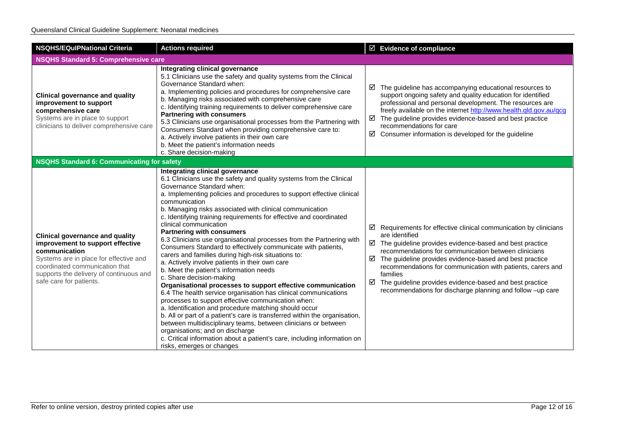| <b>NSQHS/EQuIPNational Criteria</b>                                                                                                                                                                                                           | <b>Actions required</b>                                                                                                                                                                                                                                                                                                                                                                                                                                                                                                                                                                                                                                                                                                                                                                                                                                                                                                                                                                                                                                                                                                                                                                                                                                                                            | $\boxtimes$ Evidence of compliance                                                                                                                                                                                                                                                                                                                                                                                                                                                                    |  |
|-----------------------------------------------------------------------------------------------------------------------------------------------------------------------------------------------------------------------------------------------|----------------------------------------------------------------------------------------------------------------------------------------------------------------------------------------------------------------------------------------------------------------------------------------------------------------------------------------------------------------------------------------------------------------------------------------------------------------------------------------------------------------------------------------------------------------------------------------------------------------------------------------------------------------------------------------------------------------------------------------------------------------------------------------------------------------------------------------------------------------------------------------------------------------------------------------------------------------------------------------------------------------------------------------------------------------------------------------------------------------------------------------------------------------------------------------------------------------------------------------------------------------------------------------------------|-------------------------------------------------------------------------------------------------------------------------------------------------------------------------------------------------------------------------------------------------------------------------------------------------------------------------------------------------------------------------------------------------------------------------------------------------------------------------------------------------------|--|
| <b>NSQHS Standard 5: Comprehensive care</b>                                                                                                                                                                                                   |                                                                                                                                                                                                                                                                                                                                                                                                                                                                                                                                                                                                                                                                                                                                                                                                                                                                                                                                                                                                                                                                                                                                                                                                                                                                                                    |                                                                                                                                                                                                                                                                                                                                                                                                                                                                                                       |  |
| <b>Clinical governance and quality</b><br>improvement to support<br>comprehensive care<br>Systems are in place to support<br>clinicians to deliver comprehensive care                                                                         | Integrating clinical governance<br>5.1 Clinicians use the safety and quality systems from the Clinical<br>Governance Standard when:<br>a. Implementing policies and procedures for comprehensive care<br>b. Managing risks associated with comprehensive care<br>c. Identifying training requirements to deliver comprehensive care<br><b>Partnering with consumers</b><br>5.3 Clinicians use organisational processes from the Partnering with<br>Consumers Standard when providing comprehensive care to:<br>a. Actively involve patients in their own care<br>b. Meet the patient's information needs<br>c. Share decision-making                                                                                                                                                                                                                                                                                                                                                                                                                                                                                                                                                                                                                                                               | $\boxtimes$ The guideline has accompanying educational resources to<br>support ongoing safety and quality education for identified<br>professional and personal development. The resources are<br>freely available on the internet http://www.health.qld.gov.au/qcg<br>$\boxtimes$ The guideline provides evidence-based and best practice<br>recommendations for care<br>☑<br>Consumer information is developed for the guideline                                                                    |  |
| <b>NSQHS Standard 6: Communicating for safety</b>                                                                                                                                                                                             |                                                                                                                                                                                                                                                                                                                                                                                                                                                                                                                                                                                                                                                                                                                                                                                                                                                                                                                                                                                                                                                                                                                                                                                                                                                                                                    |                                                                                                                                                                                                                                                                                                                                                                                                                                                                                                       |  |
| <b>Clinical governance and quality</b><br>improvement to support effective<br>communication<br>Systems are in place for effective and<br>coordinated communication that<br>supports the delivery of continuous and<br>safe care for patients. | Integrating clinical governance<br>6.1 Clinicians use the safety and quality systems from the Clinical<br>Governance Standard when:<br>a. Implementing policies and procedures to support effective clinical<br>communication<br>b. Managing risks associated with clinical communication<br>c. Identifying training requirements for effective and coordinated<br>clinical communication<br><b>Partnering with consumers</b><br>6.3 Clinicians use organisational processes from the Partnering with<br>Consumers Standard to effectively communicate with patients,<br>carers and families during high-risk situations to:<br>a. Actively involve patients in their own care<br>b. Meet the patient's information needs<br>c. Share decision-making<br>Organisational processes to support effective communication<br>6.4 The health service organisation has clinical communications<br>processes to support effective communication when:<br>a. Identification and procedure matching should occur<br>b. All or part of a patient's care is transferred within the organisation,<br>between multidisciplinary teams, between clinicians or between<br>organisations; and on discharge<br>c. Critical information about a patient's care, including information on<br>risks, emerges or changes | $\boxtimes$ Requirements for effective clinical communication by clinicians<br>are identified<br>$\boxtimes$ The guideline provides evidence-based and best practice<br>recommendations for communication between clinicians<br>The guideline provides evidence-based and best practice<br>☑<br>recommendations for communication with patients, carers and<br>families<br>The guideline provides evidence-based and best practice<br>☑<br>recommendations for discharge planning and follow -up care |  |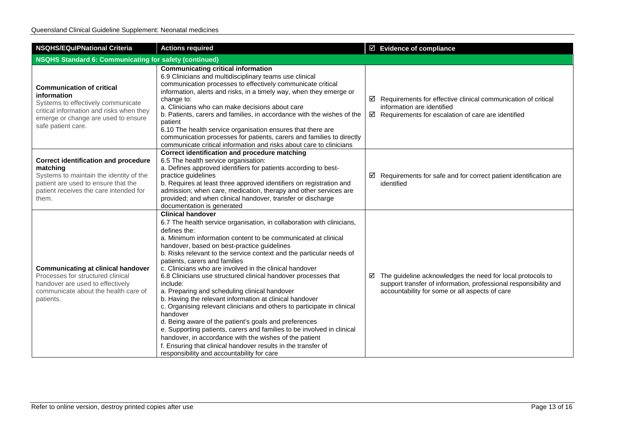| <b>NSQHS/EQuIPNational Criteria</b>                                                                                                                                                            | <b>Actions required</b>                                                                                                                                                                                                                                                                                                                                                                                                                                                                                                                                                                                                                                                                                                                                                                                                                                                                                                                                                                             | ☑ Evidence of compliance                                                                                                                                                                     |  |
|------------------------------------------------------------------------------------------------------------------------------------------------------------------------------------------------|-----------------------------------------------------------------------------------------------------------------------------------------------------------------------------------------------------------------------------------------------------------------------------------------------------------------------------------------------------------------------------------------------------------------------------------------------------------------------------------------------------------------------------------------------------------------------------------------------------------------------------------------------------------------------------------------------------------------------------------------------------------------------------------------------------------------------------------------------------------------------------------------------------------------------------------------------------------------------------------------------------|----------------------------------------------------------------------------------------------------------------------------------------------------------------------------------------------|--|
| <b>NSQHS Standard 6: Communicating for safety (continued)</b>                                                                                                                                  |                                                                                                                                                                                                                                                                                                                                                                                                                                                                                                                                                                                                                                                                                                                                                                                                                                                                                                                                                                                                     |                                                                                                                                                                                              |  |
| <b>Communication of critical</b><br>information<br>Systems to effectively communicate<br>critical information and risks when they<br>emerge or change are used to ensure<br>safe patient care. | <b>Communicating critical information</b><br>6.9 Clinicians and multidisciplinary teams use clinical<br>communication processes to effectively communicate critical<br>information, alerts and risks, in a timely way, when they emerge or<br>change to:<br>a. Clinicians who can make decisions about care<br>b. Patients, carers and families, in accordance with the wishes of the<br>patient<br>6.10 The health service organisation ensures that there are<br>communication processes for patients, carers and families to directly<br>communicate critical information and risks about care to clinicians                                                                                                                                                                                                                                                                                                                                                                                     | $\boxtimes$ Requirements for effective clinical communication of critical<br>information are identified<br>$\boxtimes$ Requirements for escalation of care are identified                    |  |
| <b>Correct identification and procedure</b><br>matching<br>Systems to maintain the identity of the<br>patient are used to ensure that the<br>patient receives the care intended for<br>them.   | <b>Correct identification and procedure matching</b><br>6.5 The health service organisation:<br>a. Defines approved identifiers for patients according to best-<br>practice guidelines<br>b. Requires at least three approved identifiers on registration and<br>admission; when care, medication, therapy and other services are<br>provided; and when clinical handover, transfer or discharge<br>documentation is generated                                                                                                                                                                                                                                                                                                                                                                                                                                                                                                                                                                      | $\boxtimes$ Requirements for safe and for correct patient identification are<br>identified                                                                                                   |  |
| <b>Communicating at clinical handover</b><br>Processes for structured clinical<br>handover are used to effectively<br>communicate about the health care of<br>patients.                        | <b>Clinical handover</b><br>6.7 The health service organisation, in collaboration with clinicians,<br>defines the:<br>a. Minimum information content to be communicated at clinical<br>handover, based on best-practice guidelines<br>b. Risks relevant to the service context and the particular needs of<br>patients, carers and families<br>c. Clinicians who are involved in the clinical handover<br>6.8 Clinicians use structured clinical handover processes that<br>include:<br>a. Preparing and scheduling clinical handover<br>b. Having the relevant information at clinical handover<br>c. Organising relevant clinicians and others to participate in clinical<br>handover<br>d. Being aware of the patient's goals and preferences<br>e. Supporting patients, carers and families to be involved in clinical<br>handover, in accordance with the wishes of the patient<br>f. Ensuring that clinical handover results in the transfer of<br>responsibility and accountability for care | $\boxtimes$ The guideline acknowledges the need for local protocols to<br>support transfer of information, professional responsibility and<br>accountability for some or all aspects of care |  |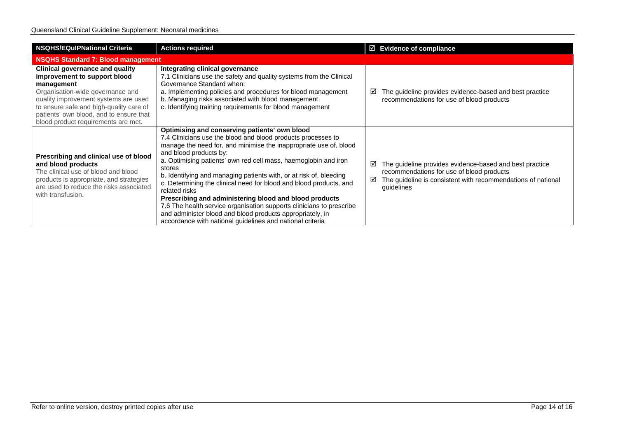| <b>NSQHS/EQulPNational Criteria</b>                                                                                                                                                                                                                                                           | <b>Actions required</b>                                                                                                                                                                                                                                                                                                                                                                                                                                                                                                                                                                                                                                                                                            |        | $\boxtimes$ Evidence of compliance                                                                                                                                                 |
|-----------------------------------------------------------------------------------------------------------------------------------------------------------------------------------------------------------------------------------------------------------------------------------------------|--------------------------------------------------------------------------------------------------------------------------------------------------------------------------------------------------------------------------------------------------------------------------------------------------------------------------------------------------------------------------------------------------------------------------------------------------------------------------------------------------------------------------------------------------------------------------------------------------------------------------------------------------------------------------------------------------------------------|--------|------------------------------------------------------------------------------------------------------------------------------------------------------------------------------------|
| <b>NSQHS Standard 7: Blood management</b>                                                                                                                                                                                                                                                     |                                                                                                                                                                                                                                                                                                                                                                                                                                                                                                                                                                                                                                                                                                                    |        |                                                                                                                                                                                    |
| <b>Clinical governance and quality</b><br>improvement to support blood<br>management<br>Organisation-wide governance and<br>quality improvement systems are used<br>to ensure safe and high-quality care of<br>patients' own blood, and to ensure that<br>blood product requirements are met. | Integrating clinical governance<br>7.1 Clinicians use the safety and quality systems from the Clinical<br>Governance Standard when:<br>a. Implementing policies and procedures for blood management<br>b. Managing risks associated with blood management<br>c. Identifying training requirements for blood management                                                                                                                                                                                                                                                                                                                                                                                             | ⊻      | The guideline provides evidence-based and best practice<br>recommendations for use of blood products                                                                               |
| Prescribing and clinical use of blood<br>and blood products<br>The clinical use of blood and blood<br>products is appropriate, and strategies<br>are used to reduce the risks associated<br>with transfusion.                                                                                 | Optimising and conserving patients' own blood<br>7.4 Clinicians use the blood and blood products processes to<br>manage the need for, and minimise the inappropriate use of, blood<br>and blood products by:<br>a. Optimising patients' own red cell mass, haemoglobin and iron<br>stores<br>b. Identifying and managing patients with, or at risk of, bleeding<br>c. Determining the clinical need for blood and blood products, and<br>related risks<br>Prescribing and administering blood and blood products<br>7.6 The health service organisation supports clinicians to prescribe<br>and administer blood and blood products appropriately, in<br>accordance with national guidelines and national criteria | ☑<br>☑ | The guideline provides evidence-based and best practice<br>recommendations for use of blood products<br>The guideline is consistent with recommendations of national<br>guidelines |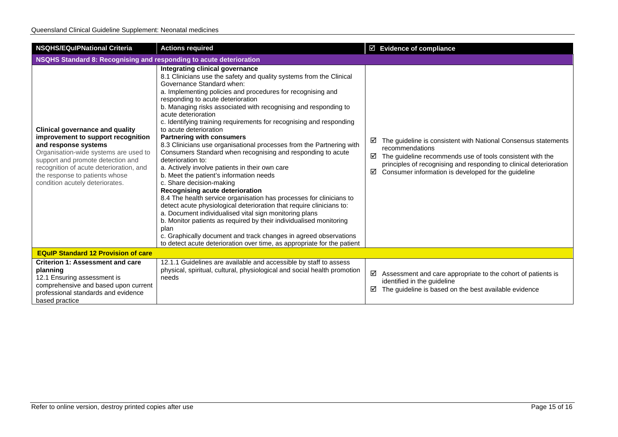| <b>NSQHS/EQuIPNational Criteria</b>                                                                                                                                                                                                                                                                | <b>Actions required</b>                                                                                                                                                                                                                                                                                                                                                                                                                                                                                                                                                                                                                                                                                                                                                                                                                                                                                                                                                                                                                                                                                                                                                                                                              | $\boxtimes$ Evidence of compliance                                                                                                                                                                                                                                                         |  |
|----------------------------------------------------------------------------------------------------------------------------------------------------------------------------------------------------------------------------------------------------------------------------------------------------|--------------------------------------------------------------------------------------------------------------------------------------------------------------------------------------------------------------------------------------------------------------------------------------------------------------------------------------------------------------------------------------------------------------------------------------------------------------------------------------------------------------------------------------------------------------------------------------------------------------------------------------------------------------------------------------------------------------------------------------------------------------------------------------------------------------------------------------------------------------------------------------------------------------------------------------------------------------------------------------------------------------------------------------------------------------------------------------------------------------------------------------------------------------------------------------------------------------------------------------|--------------------------------------------------------------------------------------------------------------------------------------------------------------------------------------------------------------------------------------------------------------------------------------------|--|
| NSQHS Standard 8: Recognising and responding to acute deterioration                                                                                                                                                                                                                                |                                                                                                                                                                                                                                                                                                                                                                                                                                                                                                                                                                                                                                                                                                                                                                                                                                                                                                                                                                                                                                                                                                                                                                                                                                      |                                                                                                                                                                                                                                                                                            |  |
| <b>Clinical governance and quality</b><br>improvement to support recognition<br>and response systems<br>Organisation-wide systems are used to<br>support and promote detection and<br>recognition of acute deterioration, and<br>the response to patients whose<br>condition acutely deteriorates. | Integrating clinical governance<br>8.1 Clinicians use the safety and quality systems from the Clinical<br>Governance Standard when:<br>a. Implementing policies and procedures for recognising and<br>responding to acute deterioration<br>b. Managing risks associated with recognising and responding to<br>acute deterioration<br>c. Identifying training requirements for recognising and responding<br>to acute deterioration<br><b>Partnering with consumers</b><br>8.3 Clinicians use organisational processes from the Partnering with<br>Consumers Standard when recognising and responding to acute<br>deterioration to:<br>a. Actively involve patients in their own care<br>b. Meet the patient's information needs<br>c. Share decision-making<br>Recognising acute deterioration<br>8.4 The health service organisation has processes for clinicians to<br>detect acute physiological deterioration that require clinicians to:<br>a. Document individualised vital sign monitoring plans<br>b. Monitor patients as required by their individualised monitoring<br>plan<br>c. Graphically document and track changes in agreed observations<br>to detect acute deterioration over time, as appropriate for the patient | The guideline is consistent with National Consensus statements<br>☑<br>recommendations<br>The guideline recommends use of tools consistent with the<br>☑<br>principles of recognising and responding to clinical deterioration<br>Consumer information is developed for the guideline<br>☑ |  |
| <b>EQuIP Standard 12 Provision of care</b>                                                                                                                                                                                                                                                         |                                                                                                                                                                                                                                                                                                                                                                                                                                                                                                                                                                                                                                                                                                                                                                                                                                                                                                                                                                                                                                                                                                                                                                                                                                      |                                                                                                                                                                                                                                                                                            |  |
| <b>Criterion 1: Assessment and care</b><br>planning<br>12.1 Ensuring assessment is<br>comprehensive and based upon current<br>professional standards and evidence<br>based practice                                                                                                                | 12.1.1 Guidelines are available and accessible by staff to assess<br>physical, spiritual, cultural, physiological and social health promotion<br>needs                                                                                                                                                                                                                                                                                                                                                                                                                                                                                                                                                                                                                                                                                                                                                                                                                                                                                                                                                                                                                                                                               | ☑<br>Assessment and care appropriate to the cohort of patients is<br>identified in the guideline<br>☑<br>The guideline is based on the best available evidence                                                                                                                             |  |